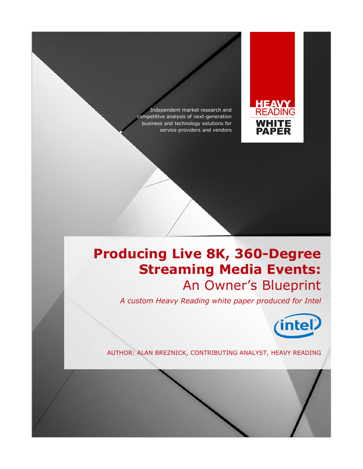Independent market research and competitive analysis of next-generation business and technology solutions for service providers and vendors



# **Producing Live 8K, 360-Degree Streaming Media Events:** An Owner's Blueprint

*A custom Heavy Reading white paper produced for Intel*



AUTHOR: ALAN BREZNICK, CONTRIBUTING ANALYST, HEAVY READING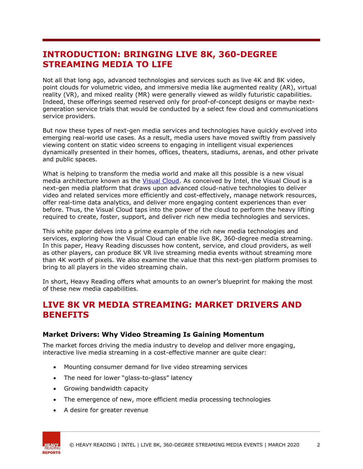## **INTRODUCTION: BRINGING LIVE 8K, 360-DEGREE STREAMING MEDIA TO LIFE**

Not all that long ago, advanced technologies and services such as live 4K and 8K video, point clouds for volumetric video, and immersive media like augmented reality (AR), virtual reality (VR), and mixed reality (MR) were generally viewed as wildly futuristic capabilities. Indeed, these offerings seemed reserved only for proof-of-concept designs or maybe nextgeneration service trials that would be conducted by a select few cloud and communications service providers.

But now these types of next-gen media services and technologies have quickly evolved into emerging real-world use cases. As a result, media users have moved swiftly from passively viewing content on static video screens to engaging in intelligent visual experiences dynamically presented in their homes, offices, theaters, stadiums, arenas, and other private and public spaces.

What is helping to transform the media world and make all this possible is a new visual media architecture known as the [Visual Cloud.](https://www.intel.com/content/www/us/en/cloud-computing/visual-cloud.html) As conceived by Intel, the Visual Cloud is a next-gen media platform that draws upon advanced cloud-native technologies to deliver video and related services more efficiently and cost-effectively, manage network resources, offer real-time data analytics, and deliver more engaging content experiences than ever before. Thus, the Visual Cloud taps into the power of the cloud to perform the heavy lifting required to create, foster, support, and deliver rich new media technologies and services.

This white paper delves into a prime example of the rich new media technologies and services, exploring how the Visual Cloud can enable live 8K, 360-degree media streaming. In this paper, Heavy Reading discusses how content, service, and cloud providers, as well as other players, can produce 8K VR live streaming media events without streaming more than 4K worth of pixels. We also examine the value that this next-gen platform promises to bring to all players in the video streaming chain.

In short, Heavy Reading offers what amounts to an owner's blueprint for making the most of these new media capabilities.

## **LIVE 8K VR MEDIA STREAMING: MARKET DRIVERS AND BENEFITS**

#### **Market Drivers: Why Video Streaming Is Gaining Momentum**

The market forces driving the media industry to develop and deliver more engaging, interactive live media streaming in a cost-effective manner are quite clear:

- Mounting consumer demand for live video streaming services
- The need for lower "glass-to-glass" latency
- Growing bandwidth capacity
- The emergence of new, more efficient media processing technologies
- A desire for greater revenue

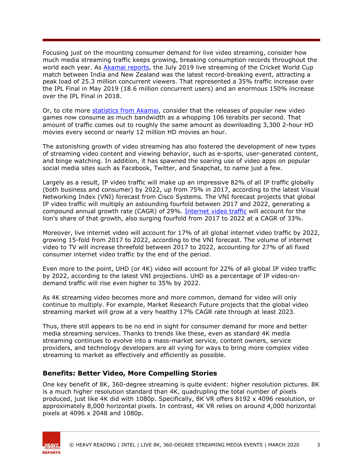Focusing just on the mounting consumer demand for live video streaming, consider how much media streaming traffic keeps growing, breaking consumption records throughout the world each year. As [Akamai reports,](https://www.sportspromedia.com/analysis/cricket-world-cup-2019-england-viewing-figures-media-sponsorship-ecb-icc) the July 2019 live streaming of the Cricket World Cup match between India and New Zealand was the latest record-breaking event, attracting a peak load of 25.3 million concurrent viewers. That represented a 35% traffic increase over the IPL Final in May 2019 (18.6 million concurrent users) and an enormous 150% increase over the IPL Final in 2018.

Or, to cite more [statistics from Akamai,](https://www.zdnet.com/article/last-weeks-fortnite-update-helped-akamai-set-a-new-cdn-traffic-record/) consider that the releases of popular new video games now consume as much bandwidth as a whopping 106 terabits per second. That amount of traffic comes out to roughly the same amount as downloading 3,300 2-hour HD movies every second or nearly 12 million HD movies an hour.

The astonishing growth of video streaming has also fostered the development of new types of streaming video content and viewing behavior, such as e-sports, user-generated content, and binge watching. In addition, it has spawned the soaring use of video apps on popular social media sites such as Facebook, Twitter, and Snapchat, to name just a few.

Largely as a result, IP video traffic will make up an impressive 82% of all IP traffic globally (both business and consumer) by 2022, up from 75% in 2017, according to the latest Visual Networking Index (VNI) forecast from Cisco Systems. The VNI forecast projects that global IP video traffic will multiply an astounding fourfold between 2017 and 2022, generating a compound annual growth rate (CAGR) of 29%. [Internet video traffic](https://www.cisco.com/c/en/us/solutions/collateral/executive-perspectives/annual-internet-report/white-paper-c11-741490.html) will account for the lion's share of that growth, also surging fourfold from 2017 to 2022 at a CAGR of 33%.

Moreover, live internet video will account for 17% of all global internet video traffic by 2022, growing 15-fold from 2017 to 2022, according to the VNI forecast. The volume of internet video to TV will increase threefold between 2017 to 2022, accounting for 27% of all fixed consumer internet video traffic by the end of the period.

Even more to the point, UHD (or 4K) video will account for 22% of all global IP video traffic by 2022, according to the latest VNI projections. UHD as a percentage of IP video-ondemand traffic will rise even higher to 35% by 2022.

As 4K streaming video becomes more and more common, demand for video will only continue to multiply. For example, Market Research Future projects that the global video streaming market will grow at a very healthy 17% CAGR rate through at least 2023.

Thus, there still appears to be no end in sight for consumer demand for more and better media streaming services. Thanks to trends like these, even as standard 4K media streaming continues to evolve into a mass-market service, content owners, service providers, and technology developers are all vying for ways to bring more complex video streaming to market as effectively and efficiently as possible.

#### **Benefits: Better Video, More Compelling Stories**

One key benefit of 8K, 360-degree streaming is quite evident: higher resolution pictures. 8K is a much higher resolution standard than 4K, quadrupling the total number of pixels produced, just like 4K did with 1080p. Specifically, 8K VR offers 8192 x 4096 resolution, or approximately 8,000 horizontal pixels. In contrast, 4K VR relies on around 4,000 horizontal pixels at 4096 x 2048 and 1080p.

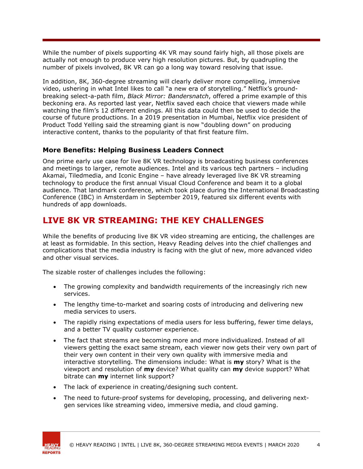While the number of pixels supporting 4K VR may sound fairly high, all those pixels are actually not enough to produce very high resolution pictures. But, by quadrupling the number of pixels involved, 8K VR can go a long way toward resolving that issue.

In addition, 8K, 360-degree streaming will clearly deliver more compelling, immersive video, ushering in what Intel likes to call "a new era of storytelling." Netflix's groundbreaking select-a-path film, *Black Mirror: Bandersnatch*, offered a prime example of this beckoning era. As reported last year, Netflix saved each choice that viewers made while watching the film's 12 different endings. All this data could then be used to decide the course of future productions. In a 2019 presentation in Mumbai, Netflix vice president of Product Todd Yelling said the streaming giant is now "doubling down" on producing interactive content, thanks to the popularity of that first feature film.

#### **More Benefits: Helping Business Leaders Connect**

One prime early use case for live 8K VR technology is broadcasting business conferences and meetings to larger, remote audiences. Intel and its various tech partners – including Akamai, Tiledmedia, and Iconic Engine – have already leveraged live 8K VR streaming technology to produce the first annual Visual Cloud Conference and beam it to a global audience. That landmark conference, which took place during the International Broadcasting Conference (IBC) in Amsterdam in September 2019, featured six different events with hundreds of app downloads.

# **LIVE 8K VR STREAMING: THE KEY CHALLENGES**

While the benefits of producing live 8K VR video streaming are enticing, the challenges are at least as formidable. In this section, Heavy Reading delves into the chief challenges and complications that the media industry is facing with the glut of new, more advanced video and other visual services.

The sizable roster of challenges includes the following:

- The growing complexity and bandwidth requirements of the increasingly rich new services.
- The lengthy time-to-market and soaring costs of introducing and delivering new media services to users.
- The rapidly rising expectations of media users for less buffering, fewer time delays, and a better TV quality customer experience.
- The fact that streams are becoming more and more individualized. Instead of all viewers getting the exact same stream, each viewer now gets their very own part of their very own content in their very own quality with immersive media and interactive storytelling. The dimensions include: What is **my** story? What is the viewport and resolution of **my** device? What quality can **my** device support? What bitrate can **my** internet link support?
- The lack of experience in creating/designing such content.
- The need to future-proof systems for developing, processing, and delivering nextgen services like streaming video, immersive media, and cloud gaming.

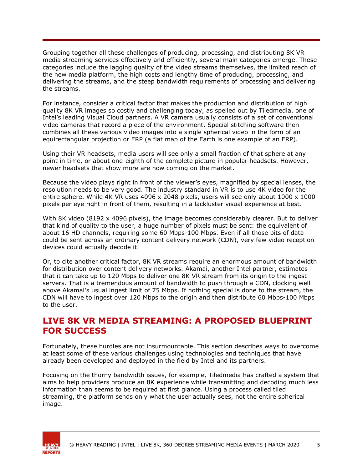Grouping together all these challenges of producing, processing, and distributing 8K VR media streaming services effectively and efficiently, several main categories emerge. These categories include the lagging quality of the video streams themselves, the limited reach of the new media platform, the high costs and lengthy time of producing, processing, and delivering the streams, and the steep bandwidth requirements of processing and delivering the streams.

For instance, consider a critical factor that makes the production and distribution of high quality 8K VR images so costly and challenging today, as spelled out by Tiledmedia, one of Intel's leading Visual Cloud partners. A VR camera usually consists of a set of conventional video cameras that record a piece of the environment. Special stitching software then combines all these various video images into a single spherical video in the form of an equirectangular projection or ERP (a flat map of the Earth is one example of an ERP).

Using their VR headsets, media users will see only a small fraction of that sphere at any point in time, or about one-eighth of the complete picture in popular headsets. However, newer headsets that show more are now coming on the market.

Because the video plays right in front of the viewer's eyes, magnified by special lenses, the resolution needs to be very good. The industry standard in VR is to use 4K video for the entire sphere. While 4K VR uses 4096 x 2048 pixels, users will see only about 1000 x 1000 pixels per eye right in front of them, resulting in a lackluster visual experience at best.

With 8K video (8192 x 4096 pixels), the image becomes considerably clearer. But to deliver that kind of quality to the user, a huge number of pixels must be sent: the equivalent of about 16 HD channels, requiring some 60 Mbps-100 Mbps. Even if all those bits of data could be sent across an ordinary content delivery network (CDN), very few video reception devices could actually decode it.

Or, to cite another critical factor, 8K VR streams require an enormous amount of bandwidth for distribution over content delivery networks. Akamai, another Intel partner, estimates that it can take up to 120 Mbps to deliver one 8K VR stream from its origin to the ingest servers. That is a tremendous amount of bandwidth to push through a CDN, clocking well above Akamai's usual ingest limit of 75 Mbps. If nothing special is done to the stream, the CDN will have to ingest over 120 Mbps to the origin and then distribute 60 Mbps-100 Mbps to the user.

### **LIVE 8K VR MEDIA STREAMING: A PROPOSED BLUEPRINT FOR SUCCESS**

Fortunately, these hurdles are not insurmountable. This section describes ways to overcome at least some of these various challenges using technologies and techniques that have already been developed and deployed in the field by Intel and its partners.

Focusing on the thorny bandwidth issues, for example, Tiledmedia has crafted a system that aims to help providers produce an 8K experience while transmitting and decoding much less information than seems to be required at first glance. Using a process called tiled streaming, the platform sends only what the user actually sees, not the entire spherical image.

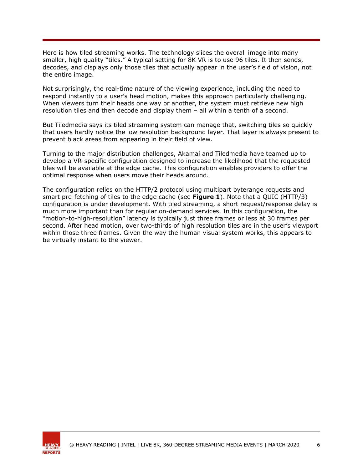Here is how tiled streaming works. The technology slices the overall image into many smaller, high quality "tiles." A typical setting for 8K VR is to use 96 tiles. It then sends, decodes, and displays only those tiles that actually appear in the user's field of vision, not the entire image.

Not surprisingly, the real-time nature of the viewing experience, including the need to respond instantly to a user's head motion, makes this approach particularly challenging. When viewers turn their heads one way or another, the system must retrieve new high resolution tiles and then decode and display them – all within a tenth of a second.

But Tiledmedia says its tiled streaming system can manage that, switching tiles so quickly that users hardly notice the low resolution background layer. That layer is always present to prevent black areas from appearing in their field of view.

Turning to the major distribution challenges, Akamai and Tiledmedia have teamed up to develop a VR-specific configuration designed to increase the likelihood that the requested tiles will be available at the edge cache. This configuration enables providers to offer the optimal response when users move their heads around.

The configuration relies on the HTTP/2 protocol using multipart byterange requests and smart pre-fetching of tiles to the edge cache (see **Figure 1**). Note that a QUIC (HTTP/3) configuration is under development. With tiled streaming, a short request/response delay is much more important than for regular on-demand services. In this configuration, the "motion-to-high-resolution" latency is typically just three frames or less at 30 frames per second. After head motion, over two-thirds of high resolution tiles are in the user's viewport within those three frames. Given the way the human visual system works, this appears to be virtually instant to the viewer.

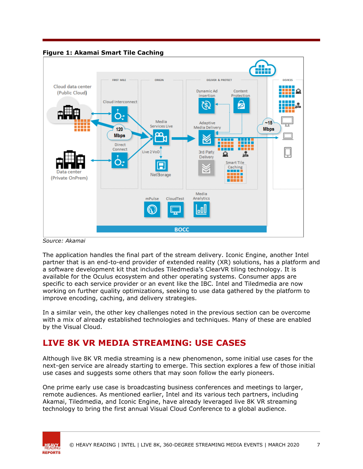

*Source: Akamai*

The application handles the final part of the stream delivery. Iconic Engine, another Intel partner that is an end-to-end provider of extended reality (XR) solutions, has a platform and a software development kit that includes Tiledmedia's ClearVR tiling technology. It is available for the Oculus ecosystem and other operating systems. Consumer apps are specific to each service provider or an event like the IBC. Intel and Tiledmedia are now working on further quality optimizations, seeking to use data gathered by the platform to improve encoding, caching, and delivery strategies.

In a similar vein, the other key challenges noted in the previous section can be overcome with a mix of already established technologies and techniques. Many of these are enabled by the Visual Cloud.

# **LIVE 8K VR MEDIA STREAMING: USE CASES**

Although live 8K VR media streaming is a new phenomenon, some initial use cases for the next-gen service are already starting to emerge. This section explores a few of those initial use cases and suggests some others that may soon follow the early pioneers.

One prime early use case is broadcasting business conferences and meetings to larger, remote audiences. As mentioned earlier, Intel and its various tech partners, including Akamai, Tiledmedia, and Iconic Engine, have already leveraged live 8K VR streaming technology to bring the first annual Visual Cloud Conference to a global audience.

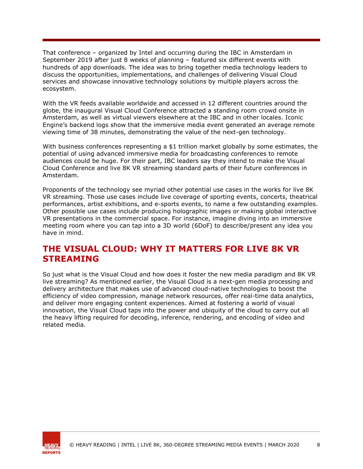That conference – organized by Intel and occurring during the IBC in Amsterdam in September 2019 after just 8 weeks of planning – featured six different events with hundreds of app downloads. The idea was to bring together media technology leaders to discuss the opportunities, implementations, and challenges of delivering Visual Cloud services and showcase innovative technology solutions by multiple players across the ecosystem.

With the VR feeds available worldwide and accessed in 12 different countries around the globe, the inaugural Visual Cloud Conference attracted a standing room crowd onsite in Amsterdam, as well as virtual viewers elsewhere at the IBC and in other locales. Iconic Engine's backend logs show that the immersive media event generated an average remote viewing time of 38 minutes, demonstrating the value of the next-gen technology.

With business conferences representing a \$1 trillion market globally by some estimates, the potential of using advanced immersive media for broadcasting conferences to remote audiences could be huge. For their part, IBC leaders say they intend to make the Visual Cloud Conference and live 8K VR streaming standard parts of their future conferences in Amsterdam.

Proponents of the technology see myriad other potential use cases in the works for live 8K VR streaming. Those use cases include live coverage of sporting events, concerts, theatrical performances, artist exhibitions, and e-sports events, to name a few outstanding examples. Other possible use cases include producing holographic images or making global interactive VR presentations in the commercial space. For instance, imagine diving into an immersive meeting room where you can tap into a 3D world (6DoF) to describe/present any idea you have in mind.

### **THE VISUAL CLOUD: WHY IT MATTERS FOR LIVE 8K VR STREAMING**

So just what is the Visual Cloud and how does it foster the new media paradigm and 8K VR live streaming? As mentioned earlier, the Visual Cloud is a next-gen media processing and delivery architecture that makes use of advanced cloud-native technologies to boost the efficiency of video compression, manage network resources, offer real-time data analytics, and deliver more engaging content experiences. Aimed at fostering a world of visual innovation, the Visual Cloud taps into the power and ubiquity of the cloud to carry out all the heavy lifting required for decoding, inference, rendering, and encoding of video and related media.

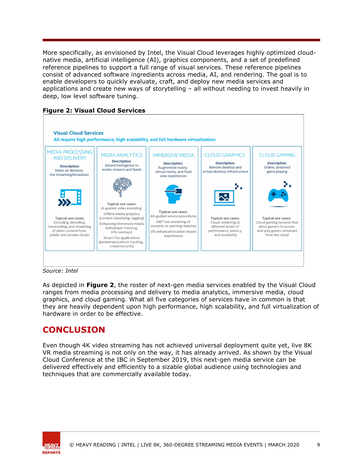More specifically, as envisioned by Intel, the Visual Cloud leverages highly optimized cloudnative media, artificial intelligence (AI), graphics components, and a set of predefined reference pipelines to support a full range of visual services. These reference pipelines consist of advanced software ingredients across media, AI, and rendering. The goal is to enable developers to quickly evaluate, craft, and deploy new media services and applications and create new ways of storytelling – all without needing to invest heavily in deep, low level software tuning.





*Source: Intel*

As depicted in **Figure 2**, the roster of next-gen media services enabled by the Visual Cloud ranges from media processing and delivery to media analytics, immersive media, cloud graphics, and cloud gaming. What all five categories of services have in common is that they are heavily dependent upon high performance, high scalability, and full virtualization of hardware in order to be effective.

# **CONCLUSION**

Even though 4K video streaming has not achieved universal deployment quite yet, live 8K VR media streaming is not only on the way, it has already arrived. As shown by the Visual Cloud Conference at the IBC in September 2019, this next-gen media service can be delivered effectively and efficiently to a sizable global audience using technologies and techniques that are commercially available today.